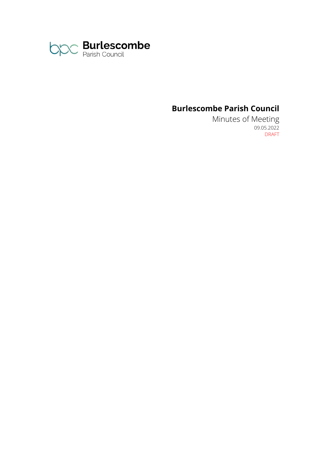

# **Burlescombe Parish Council**

Minutes of Meeting 09.05.2022 DRAFT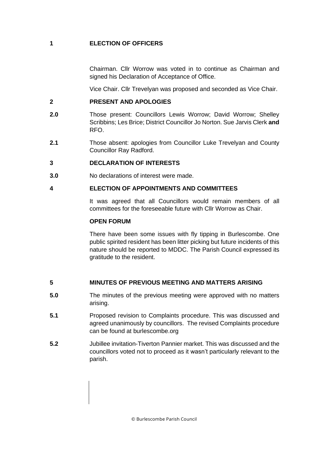## **1 ELECTION OF OFFICERS**

Chairman. Cllr Worrow was voted in to continue as Chairman and signed his Declaration of Acceptance of Office.

Vice Chair. Cllr Trevelyan was proposed and seconded as Vice Chair.

### **2 PRESENT AND APOLOGIES**

- **2.0** Those present: Councillors Lewis Worrow; David Worrow; Shelley Scribbins; Les Brice; District Councillor Jo Norton. Sue Jarvis Clerk **and** RFO.
- **2.1** Those absent: apologies from Councillor Luke Trevelyan and County Councillor Ray Radford.

## **3 DECLARATION OF INTERESTS**

**3.0** No declarations of interest were made.

## **4 ELECTION OF APPOINTMENTS AND COMMITTEES**

It was agreed that all Councillors would remain members of all committees for the foreseeable future with Cllr Worrow as Chair.

#### **OPEN FORUM**

There have been some issues with fly tipping in Burlescombe. One public spirited resident has been litter picking but future incidents of this nature should be reported to MDDC. The Parish Council expressed its gratitude to the resident.

## **5 MINUTES OF PREVIOUS MEETING AND MATTERS ARISING**

- **5.0** The minutes of the previous meeting were approved with no matters arising.
- **5.1** Proposed revision to Complaints procedure. This was discussed and agreed unanimously by councillors. The revised Complaints procedure can be found at burlescombe.org
- **5.2** Jubillee invitation-Tiverton Pannier market. This was discussed and the councillors voted not to proceed as it wasn't particularly relevant to the parish.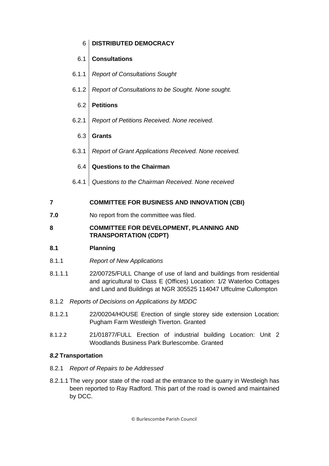## 6 **DISTRIBUTED DEMOCRACY**

## 6.1 **Consultations**

- 6.1.1 *Report of Consultations Sought*
- 6.1.2 *Report of Consultations to be Sought. None sought.*

## 6.2 **Petitions**

6.2.1 *Report of Petitions Received. None received.*

## 6.3 **Grants**

6.3.1 *Report of Grant Applications Received. None received.*

## 6.4 **Questions to the Chairman**

6.4.1 *Questions to the Chairman Received. None received*

## **7 COMMITTEE FOR BUSINESS AND INNOVATION (CBI)**

**7.0** No report from the committee was filed.

## **8 COMMITTEE FOR DEVELOPMENT, PLANNING AND TRANSPORTATION (CDPT)**

#### **8.1 Planning**

- 8.1.1 *Report of New Applications*
- 8.1.1.1 22/00725/FULL Change of use of land and buildings from residential and agricultural to Class E (Offices) Location: 1/2 Waterloo Cottages and Land and Buildings at NGR 305525 114047 Uffculme Cullompton
- 8.1.2 *Reports of Decisions on Applications by MDDC*
- 8.1.2.1 22/00204/HOUSE Erection of single storey side extension Location: Pugham Farm Westleigh Tiverton. Granted
- 8.1.2.2 21/01877/FULL Erection of industrial building Location: Unit 2 Woodlands Business Park Burlescombe. Granted

#### *8.2* **Transportation**

#### 8.2.1 *Report of Repairs to be Addressed*

8.2.1.1 The very poor state of the road at the entrance to the quarry in Westleigh has been reported to Ray Radford. This part of the road is owned and maintained by DCC.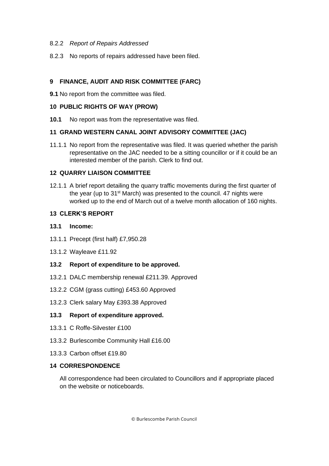#### 8.2.2 *Report of Repairs Addressed*

8.2.3 No reports of repairs addressed have been filed.

#### **9 FINANCE, AUDIT AND RISK COMMITTEE (FARC)**

**9.1** No report from the committee was filed.

#### **10 PUBLIC RIGHTS OF WAY (PROW)**

**10.1** No report was from the representative was filed.

#### **11 GRAND WESTERN CANAL JOINT ADVISORY COMMITTEE (JAC)**

11.1.1 No report from the representative was filed. It was queried whether the parish representative on the JAC needed to be a sitting councillor or if it could be an interested member of the parish. Clerk to find out.

#### **12 QUARRY LIAISON COMMITTEE**

12.1.1 A brief report detailing the quarry traffic movements during the first quarter of the year (up to 31<sup>st</sup> March) was presented to the council. 47 nights were worked up to the end of March out of a twelve month allocation of 160 nights.

#### **13 CLERK'S REPORT**

#### **13.1 Income:**

- 13.1.1 Precept (first half) £7,950.28
- 13.1.2 Wayleave £11.92

#### **13.2 Report of expenditure to be approved.**

- 13.2.1 DALC membership renewal £211.39. Approved
- 13.2.2 CGM (grass cutting) £453.60 Approved
- 13.2.3 Clerk salary May £393.38 Approved

#### **13.3 Report of expenditure approved.**

- 13.3.1 C Roffe-Silvester £100
- 13.3.2 Burlescombe Community Hall £16.00
- 13.3.3 Carbon offset £19.80

#### **14 CORRESPONDENCE**

All correspondence had been circulated to Councillors and if appropriate placed on the website or noticeboards.